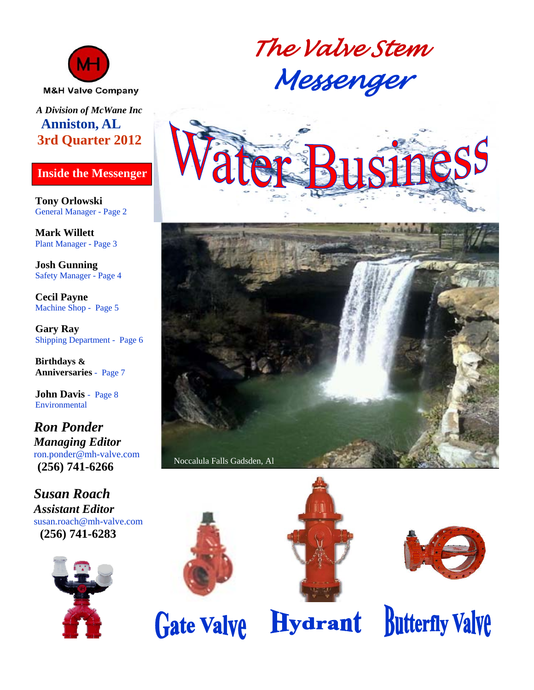

#### *A Division of McWane Inc*  **Anniston, AL 3rd Quarter 2012**

#### **Inside the Messenger**

**Tony Orlowski**  General Manager - Page 2

**Mark Willett**  Plant Manager - Page 3

**Josh Gunning**  Safety Manager - Page 4

**Cecil Payne**  Machine Shop - Page 5

**Gary Ray**  Shipping Department - Page 6

**Birthdays & Anniversaries** - Page 7

**John Davis** - Page 8 Environmental

*Ron Ponder Managing Editor*  ron.ponder@mh-valve.com **(256) 741-6266**

*Susan Roach Assistant Editor*  susan.roach@mh-valve.com **(256) 741-6283** 













**Hydrant** 

**Butterfly Valve**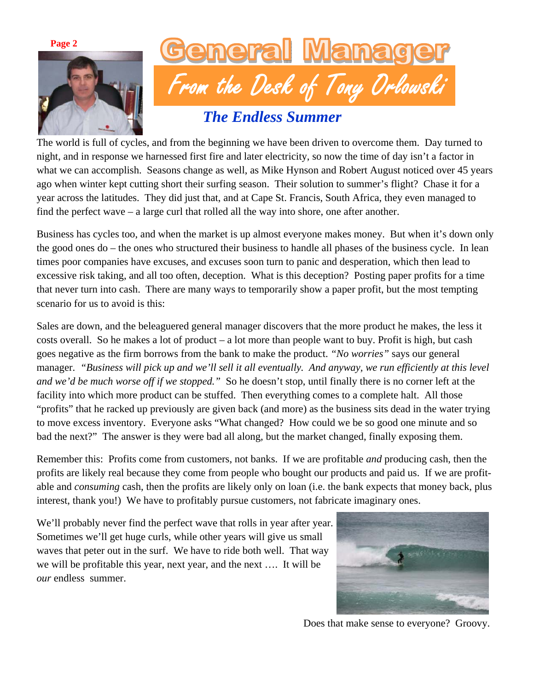**Page 2** 





# *The Endless Summer*

The world is full of cycles, and from the beginning we have been driven to overcome them. Day turned to night, and in response we harnessed first fire and later electricity, so now the time of day isn't a factor in what we can accomplish. Seasons change as well, as Mike Hynson and Robert August noticed over 45 years ago when winter kept cutting short their surfing season. Their solution to summer's flight? Chase it for a year across the latitudes. They did just that, and at Cape St. Francis, South Africa, they even managed to find the perfect wave – a large curl that rolled all the way into shore, one after another.

Business has cycles too, and when the market is up almost everyone makes money. But when it's down only the good ones do – the ones who structured their business to handle all phases of the business cycle. In lean times poor companies have excuses, and excuses soon turn to panic and desperation, which then lead to excessive risk taking, and all too often, deception. What is this deception? Posting paper profits for a time that never turn into cash. There are many ways to temporarily show a paper profit, but the most tempting scenario for us to avoid is this:

Sales are down, and the beleaguered general manager discovers that the more product he makes, the less it costs overall. So he makes a lot of product – a lot more than people want to buy. Profit is high, but cash goes negative as the firm borrows from the bank to make the product. *"No worries"* says our general manager. *"Business will pick up and we'll sell it all eventually. And anyway, we run efficiently at this level and we'd be much worse off if we stopped."* So he doesn't stop, until finally there is no corner left at the facility into which more product can be stuffed. Then everything comes to a complete halt. All those "profits" that he racked up previously are given back (and more) as the business sits dead in the water trying to move excess inventory. Everyone asks "What changed? How could we be so good one minute and so bad the next?" The answer is they were bad all along, but the market changed, finally exposing them.

Remember this: Profits come from customers, not banks. If we are profitable *and* producing cash, then the profits are likely real because they come from people who bought our products and paid us. If we are profitable and *consuming* cash, then the profits are likely only on loan (i.e. the bank expects that money back, plus interest, thank you!) We have to profitably pursue customers, not fabricate imaginary ones.

We'll probably never find the perfect wave that rolls in year after year. Sometimes we'll get huge curls, while other years will give us small waves that peter out in the surf. We have to ride both well. That way we will be profitable this year, next year, and the next …. It will be *our* endless summer.



Does that make sense to everyone? Groovy.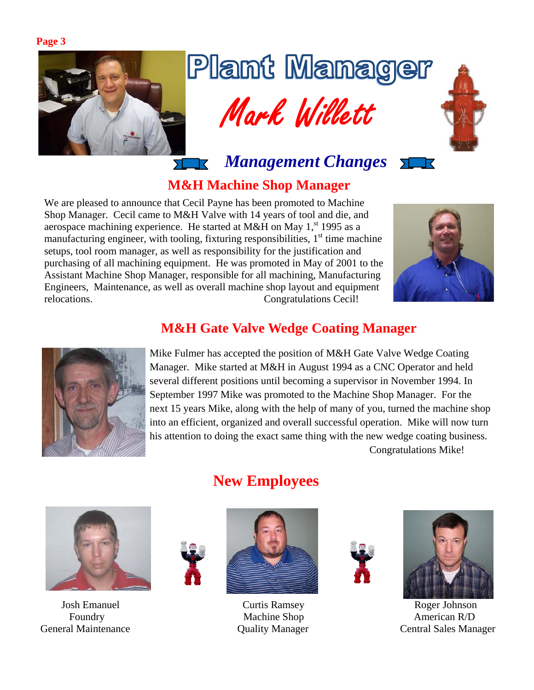**Page 3** 



# Plant Manager Mark Willett



*Management Changes*

# **M&H Machine Shop Manager**

We are pleased to announce that Cecil Payne has been promoted to Machine Shop Manager. Cecil came to M&H Valve with 14 years of tool and die, and aerospace machining experience. He started at M&H on May  $1<sup>st</sup>$  1995 as a manufacturing engineer, with tooling, fixturing responsibilities,  $1<sup>st</sup>$  time machine setups, tool room manager, as well as responsibility for the justification and purchasing of all machining equipment. He was promoted in May of 2001 to the Assistant Machine Shop Manager, responsible for all machining, Manufacturing Engineers, Maintenance, as well as overall machine shop layout and equipment relocations. Congratulations Cecil!



ソード

## **M&H Gate Valve Wedge Coating Manager**



Mike Fulmer has accepted the position of M&H Gate Valve Wedge Coating Manager. Mike started at M&H in August 1994 as a CNC Operator and held several different positions until becoming a supervisor in November 1994. In September 1997 Mike was promoted to the Machine Shop Manager. For the next 15 years Mike, along with the help of many of you, turned the machine shop into an efficient, organized and overall successful operation. Mike will now turn his attention to doing the exact same thing with the new wedge coating business. Congratulations Mike!



# **New Employees**







 Josh Emanuel Curtis Ramsey Roger Johnson Foundry **Machine Shop** American R/D General Maintenance Quality Manager Central Sales Manager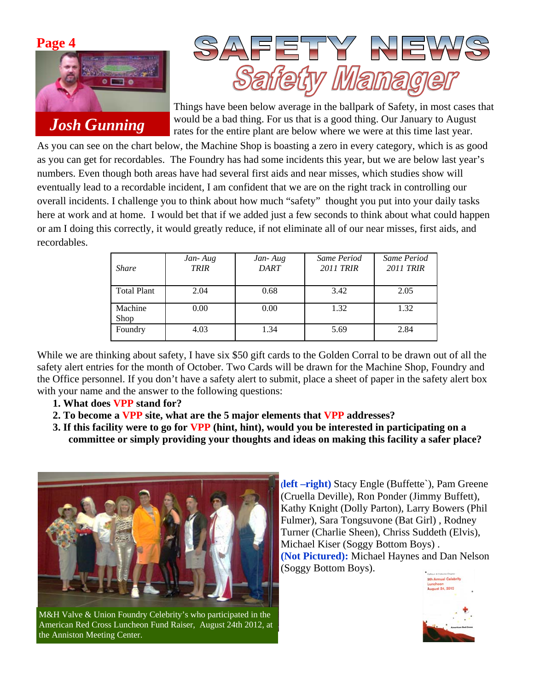



Things have been below average in the ballpark of Safety, in most cases that would be a bad thing. For us that is a good thing. Our January to August rates for the entire plant are below where we were at this time last year.

As you can see on the chart below, the Machine Shop is boasting a zero in every category, which is as good as you can get for recordables. The Foundry has had some incidents this year, but we are below last year's numbers. Even though both areas have had several first aids and near misses, which studies show will eventually lead to a recordable incident, I am confident that we are on the right track in controlling our overall incidents. I challenge you to think about how much "safety" thought you put into your daily tasks here at work and at home. I would bet that if we added just a few seconds to think about what could happen or am I doing this correctly, it would greatly reduce, if not eliminate all of our near misses, first aids, and recordables.

| <b>Share</b>       | Jan-Aug<br><b>TRIR</b> | Jan-Aug<br><b>DART</b> | Same Period<br>2011 TRIR | Same Period<br>2011 TRIR |
|--------------------|------------------------|------------------------|--------------------------|--------------------------|
| <b>Total Plant</b> | 2.04                   | 0.68                   | 3.42                     | 2.05                     |
| Machine<br>Shop    | 0.00                   | 0.00                   | 1.32                     | 1.32                     |
| Foundry            | 4.03                   | 1.34                   | 5.69                     | 2.84                     |

While we are thinking about safety, I have six \$50 gift cards to the Golden Corral to be drawn out of all the safety alert entries for the month of October. Two Cards will be drawn for the Machine Shop, Foundry and the Office personnel. If you don't have a safety alert to submit, place a sheet of paper in the safety alert box with your name and the answer to the following questions:

- **1. What does VPP stand for?**
- **2. To become a VPP site, what are the 5 major elements that VPP addresses?**
- **3. If this facility were to go for VPP (hint, hint), would you be interested in participating on a committee or simply providing your thoughts and ideas on making this facility a safer place?**



M&H Valve & Union Foundry Celebrity's who participated in the American Red Cross Luncheon Fund Raiser, August 24th 2012, at the Anniston Meeting Center.

**(left –right)** Stacy Engle (Buffette`), Pam Greene (Cruella Deville), Ron Ponder (Jimmy Buffett), Kathy Knight (Dolly Parton), Larry Bowers (Phil Fulmer), Sara Tongsuvone (Bat Girl) , Rodney Turner (Charlie Sheen), Chriss Suddeth (Elvis), Michael Kiser (Soggy Bottom Boys) . **(Not Pictured):** Michael Haynes and Dan Nelson (Soggy Bottom Boys).

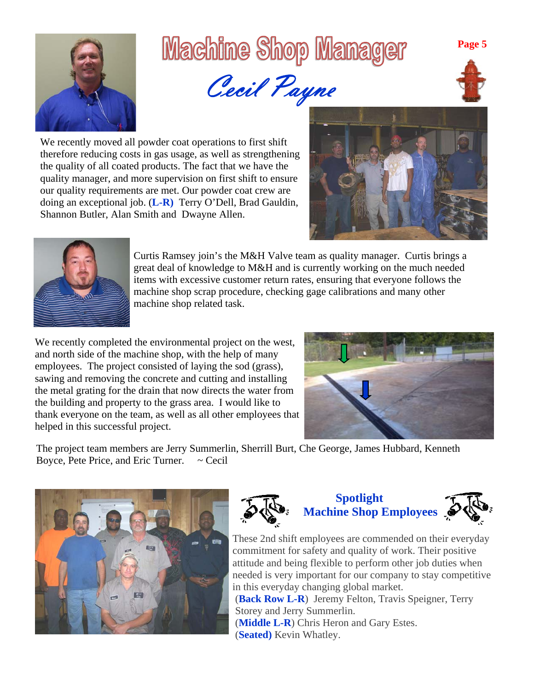

# Machine Shop Manager



We recently moved all powder coat operations to first shift therefore reducing costs in gas usage, as well as strengthening the quality of all coated products. The fact that we have the quality manager, and more supervision on first shift to ensure our quality requirements are met. Our powder coat crew are doing an exceptional job. (**L-R)** Terry O'Dell, Brad Gauldin, Shannon Butler, Alan Smith and Dwayne Allen.





Curtis Ramsey join's the M&H Valve team as quality manager. Curtis brings a great deal of knowledge to M&H and is currently working on the much needed items with excessive customer return rates, ensuring that everyone follows the machine shop scrap procedure, checking gage calibrations and many other machine shop related task.

We recently completed the environmental project on the west, and north side of the machine shop, with the help of many employees. The project consisted of laying the sod (grass), sawing and removing the concrete and cutting and installing the metal grating for the drain that now directs the water from the building and property to the grass area. I would like to thank everyone on the team, as well as all other employees that helped in this successful project.



The project team members are Jerry Summerlin, Sherrill Burt, Che George, James Hubbard, Kenneth Boyce, Pete Price, and Eric Turner.  $\sim$  Cecil





#### **Spotlight Machine Shop Employees**



These 2nd shift employees are commended on their everyday commitment for safety and quality of work. Their positive attitude and being flexible to perform other job duties when needed is very important for our company to stay competitive in this everyday changing global market.

 (**Back Row L-R**) Jeremy Felton, Travis Speigner, Terry Storey and Jerry Summerlin.

 (**Middle L-R**) Chris Heron and Gary Estes. (**Seated)** Kevin Whatley.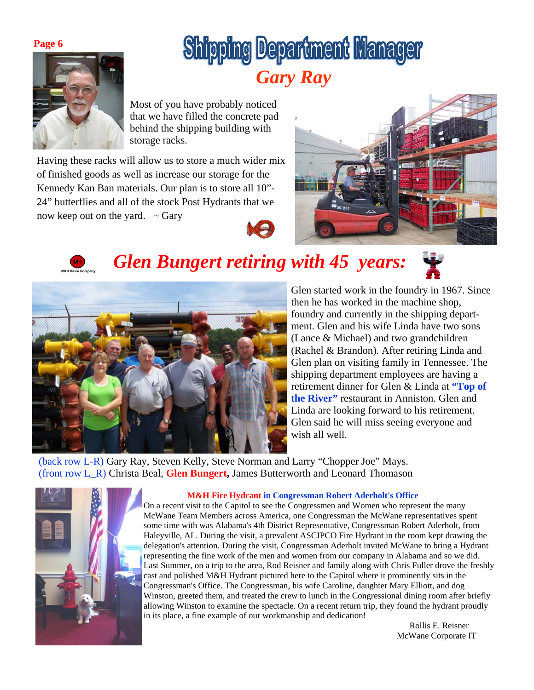#### **Page 6**



# **Shipping Department Manager** *Gary Ray*

Most of you have probably noticed that we have filled the concrete pad behind the shipping building with storage racks.

Having these racks will allow us to store a much wider mix of finished goods as well as increase our storage for the Kennedy Kan Ban materials. Our plan is to store all 10"- 24" butterflies and all of the stock Post Hydrants that we now keep out on the yard.  $\sim$  Gary





# *Glen Bungert retiring with 45 years:*





Glen started work in the foundry in 1967. Since then he has worked in the machine shop, foundry and currently in the shipping department. Glen and his wife Linda have two sons (Lance & Michael) and two grandchildren (Rachel & Brandon). After retiring Linda and Glen plan on visiting family in Tennessee. The shipping department employees are having a retirement dinner for Glen & Linda at **"Top of the River"** restaurant in Anniston. Glen and Linda are looking forward to his retirement. Glen said he will miss seeing everyone and wish all well.

(back row L-R) Gary Ray, Steven Kelly, Steve Norman and Larry "Chopper Joe" Mays. (front row L\_R) Christa Beal, **Glen Bungert,** James Butterworth and Leonard Thomason



#### **M&H Fire Hydrant in Congressman Robert Aderholt's Office**

On a recent visit to the Capitol to see the Congressmen and Women who represent the many McWane Team Members across America, one Congressman the McWane representatives spent some time with was Alabama's 4th District Representative, Congressman Robert Aderholt, from Haleyville, AL. During the visit, a prevalent ASCIPCO Fire Hydrant in the room kept drawing the delegation's attention. During the visit, Congressman Aderholt invited McWane to bring a Hydrant representing the fine work of the men and women from our company in Alabama and so we did. Last Summer, on a trip to the area, Rod Reisner and family along with Chris Fuller drove the freshly cast and polished M&H Hydrant pictured here to the Capitol where it prominently sits in the Congressman's Office. The Congressman, his wife Caroline, daughter Mary Elliott, and dog Winston, greeted them, and treated the crew to lunch in the Congressional dining room after briefly allowing Winston to examine the spectacle. On a recent return trip, they found the hydrant proudly in its place, a fine example of our workmanship and dedication!

 Rollis E. Reisner McWane Corporate IT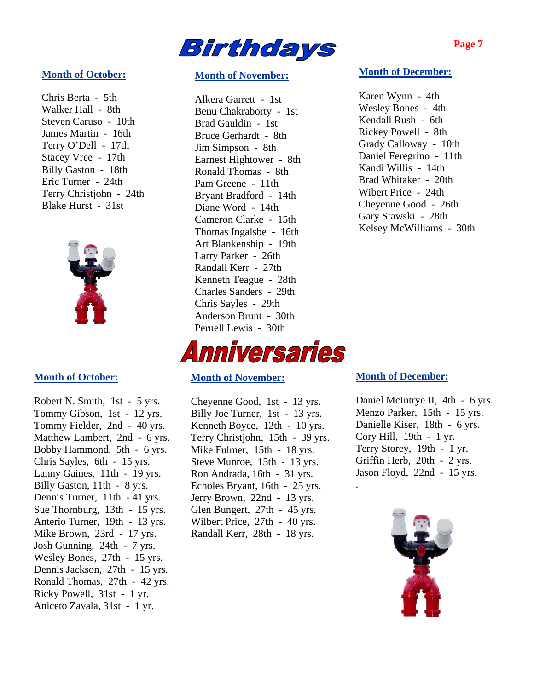

#### **Month of October:**

Chris Berta - 5th Walker Hall - 8th Steven Caruso - 10th James Martin - 16th Terry O'Dell - 17th Stacey Vree - 17th Billy Gaston - 18th Eric Turner - 24th Terry Christjohn - 24th Blake Hurst - 31st



#### **Month of October:**

Robert N. Smith, 1st - 5 yrs. Tommy Gibson, 1st - 12 yrs. Tommy Fielder, 2nd - 40 yrs. Matthew Lambert, 2nd - 6 yrs. Bobby Hammond, 5th - 6 yrs. Chris Sayles, 6th - 15 yrs. Lanny Gaines, 11th - 19 yrs. Billy Gaston, 11th - 8 yrs. Dennis Turner, 11th - 41 yrs. Sue Thornburg, 13th - 15 yrs. Anterio Turner, 19th - 13 yrs. Mike Brown, 23rd - 17 yrs. Josh Gunning, 24th - 7 yrs. Wesley Bones, 27th - 15 yrs. Dennis Jackson, 27th - 15 yrs. Ronald Thomas, 27th - 42 yrs. Ricky Powell, 31st - 1 yr. Aniceto Zavala, 31st - 1 yr.

#### **Month of November:**

Alkera Garrett - 1st Benu Chakraborty - 1st Brad Gauldin - 1st Bruce Gerhardt - 8th Jim Simpson - 8th Earnest Hightower - 8th Ronald Thomas - 8th Pam Greene - 11th Bryant Bradford - 14th Diane Word - 14th Cameron Clarke - 15th Thomas Ingalsbe - 16th Art Blankenship - 19th Larry Parker - 26th Randall Kerr - 27th Kenneth Teague - 28th Charles Sanders - 29th Chris Sayles - 29th Anderson Brunt - 30th Pernell Lewis - 30th



#### **Month of November:**

Cheyenne Good, 1st - 13 yrs. Billy Joe Turner, 1st - 13 yrs. Kenneth Boyce, 12th - 10 yrs. Terry Christjohn, 15th - 39 yrs. Mike Fulmer, 15th - 18 yrs. Steve Munroe, 15th - 13 yrs. Ron Andrada, 16th - 31 yrs. Echoles Bryant, 16th - 25 yrs. Jerry Brown, 22nd - 13 yrs. Glen Bungert, 27th - 45 yrs. Wilbert Price, 27th - 40 yrs. Randall Kerr, 28th - 18 yrs.

#### **Month of December:**

Karen Wynn - 4th Wesley Bones - 4th Kendall Rush - 6th Rickey Powell - 8th Grady Calloway - 10th Daniel Feregrino - 11th Kandi Willis - 14th Brad Whitaker - 20th Wibert Price - 24th Cheyenne Good - 26th Gary Stawski - 28th Kelsey McWilliams - 30th

#### **Month of December:**

.

Daniel McIntrye II, 4th - 6 yrs. Menzo Parker, 15th - 15 yrs. Danielle Kiser, 18th - 6 yrs. Cory Hill, 19th - 1 yr. Terry Storey, 19th - 1 yr. Griffin Herb, 20th - 2 yrs. Jason Floyd, 22nd - 15 yrs.